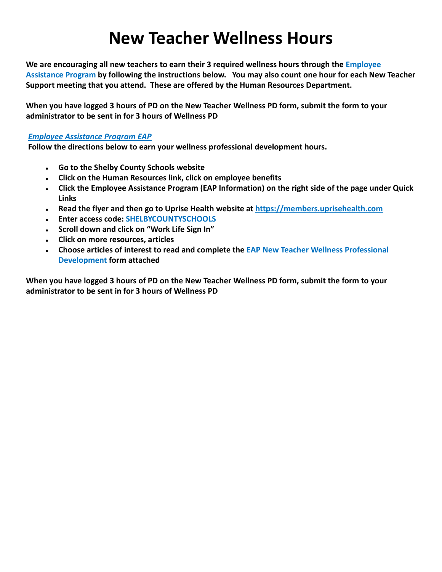## **New Teacher Wellness Hours**

 **We are encouraging all new teachers to earn their 3 required wellness hours through the Employee Assistance Program by following the instructions below. You may also count one hour for each New Teacher Support meeting that you attend. These are offered by the Human Resources Department.**

**When you have logged 3 hours of PD on the New Teacher Wellness PD form, submit the form to your administrator to be sent in for 3 hours of Wellness PD**

## *Employee Assistance Program EAP*

**Follow the directions below to earn your wellness professional development hours.**

- **● Go to the Shelby County Schools website**
- **● Click on the Human Resources link, click on employee benefits**
- **● Click the Employee Assistance Program (EAP Information) on the right side of the page under Quick Links**
- **● Read the flyer and then go to Uprise Health website at <https://members.uprisehealth.com>**
- **● Enter access code: SHELBYCOUNTYSCHOOLS**
- **● Scroll down and click on "Work Life Sign In"**
- **● Click on more resources, articles**
- **Development form attached ● Choose articles of interest to read and complete the EAP New Teacher Wellness Professional**

**When you have logged 3 hours of PD on the New Teacher Wellness PD form, submit the form to your administrator to be sent in for 3 hours of Wellness PD**